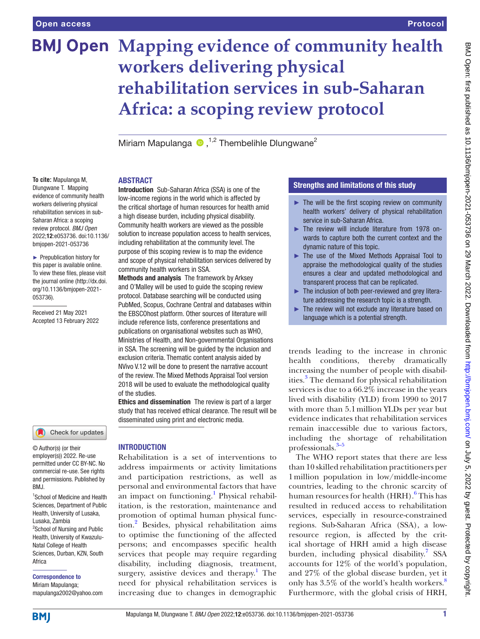# **BMJ Open Mapping evidence of community health workers delivering physical rehabilitation services in sub-Saharan Africa: a scoping review protocol**

MiriamMapulanga  $\bullet$  .<sup>1,2</sup> Thembelihle Dlungwane<sup>2</sup>

# ABSTRACT

**To cite:** Mapulanga M, Dlungwane T. Mapping evidence of community health workers delivering physical rehabilitation services in sub-Saharan Africa: a scoping review protocol. *BMJ Open* 2022;12:e053736. doi:10.1136/ bmjopen-2021-053736

► Prepublication history for this paper is available online. To view these files, please visit the journal online [\(http://dx.doi.](http://dx.doi.org/10.1136/bmjopen-2021-053736) [org/10.1136/bmjopen-2021-](http://dx.doi.org/10.1136/bmjopen-2021-053736) [053736\)](http://dx.doi.org/10.1136/bmjopen-2021-053736).

Received 21 May 2021 Accepted 13 February 2022

### Check for updates

© Author(s) (or their employer(s)) 2022. Re-use permitted under CC BY-NC. No commercial re-use. See rights and permissions. Published by BMJ.

1 School of Medicine and Health Sciences, Department of Public Health, University of Lusaka, Lusaka, Zambia <sup>2</sup>School of Nursing and Public Health, University of Kwazulu-Natal College of Health Sciences, Durban, KZN, South Africa

Correspondence to Miriam Mapulanga; mapulanga2002@yahoo.com

Introduction Sub-Saharan Africa (SSA) is one of the low-income regions in the world which is affected by the critical shortage of human resources for health amid a high disease burden, including physical disability. Community health workers are viewed as the possible solution to increase population access to health services, including rehabilitation at the community level. The purpose of this scoping review is to map the evidence and scope of physical rehabilitation services delivered by community health workers in SSA.

Methods and analysis The framework by Arksey and O'Malley will be used to guide the scoping review protocol. Database searching will be conducted using PubMed, Scopus, Cochrane Central and databases within the EBSCOhost platform. Other sources of literature will include reference lists, conference presentations and publications on organisational websites such as WHO, Ministries of Health, and Non-governmental Organisations in SSA. The screening will be guided by the inclusion and exclusion criteria. Thematic content analysis aided by NVivo V.12 will be done to present the narrative account of the review. The Mixed Methods Appraisal Tool version 2018 will be used to evaluate the methodological quality of the studies.

Ethics and dissemination The review is part of a larger study that has received ethical clearance. The result will be disseminated using print and electronic media.

# INTRODUCTION

Rehabilitation is a set of interventions to address impairments or activity limitations and participation restrictions, as well as personal and environmental factors that have an impact on functioning.<sup>1</sup> Physical rehabilitation, is the restoration, maintenance and promotion of optimal human physical function[.2](#page-4-1) Besides, physical rehabilitation aims to optimise the functioning of the affected persons; and encompasses specific health services that people may require regarding disability, including diagnosis, treatment, surgery, assistive devices and therapy.<sup>[1](#page-4-0)</sup> The need for physical rehabilitation services is increasing due to changes in demographic

# Strengths and limitations of this study

- $\blacktriangleright$  The will be the first scoping review on community health workers' delivery of physical rehabilitation service in sub-Saharan Africa.
- ► The review will include literature from 1978 onwards to capture both the current context and the dynamic nature of this topic.
- ► The use of the Mixed Methods Appraisal Tool to appraise the methodological quality of the studies ensures a clear and updated methodological and transparent process that can be replicated.
- ► The inclusion of both peer-reviewed and grey literature addressing the research topic is a strength.
- The review will not exclude any literature based on language which is a potential strength.

trends leading to the increase in chronic health conditions, thereby dramatically increasing the number of people with disabilities[.3](#page-4-2) The demand for physical rehabilitation services is due to a 66.2% increase in the years lived with disability (YLD) from 1990 to 2017 with more than 5.1million YLDs per year but evidence indicates that rehabilitation services remain inaccessible due to various factors, including the shortage of rehabilitation professionals.[3–5](#page-4-2)

The WHO report states that there are less than 10 skilled rehabilitation practitioners per 1million population in low/middle-income countries, leading to the chronic scarcity of human resources for health (HRH).<sup>[6](#page-4-3)</sup> This has resulted in reduced access to rehabilitation services, especially in resource-constrained regions. Sub-Saharan Africa (SSA), a lowresource region, is affected by the critical shortage of HRH amid a high disease burden, including physical disability.<sup>7</sup> SSA accounts for 12% of the world's population, and 27% of the global disease burden, yet it only has  $3.5\%$  of the world's health workers.<sup>[8](#page-4-5)</sup> Furthermore, with the global crisis of HRH,

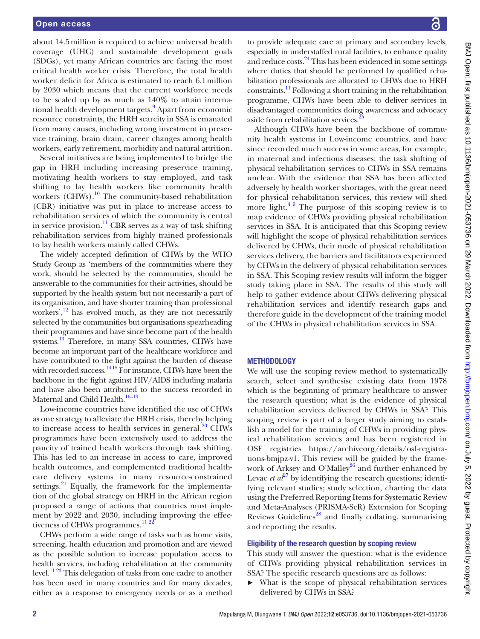about 14.5million is required to achieve universal health coverage (UHC) and sustainable development goals (SDGs), yet many African countries are facing the most critical health worker crisis. Therefore, the total health worker deficit for Africa is estimated to reach 6.1million by 2030 which means that the current workforce needs to be scaled up by as much as 140% to attain interna-tional health development targets.<sup>[9](#page-5-0)</sup> Apart from economic resource constraints, the HRH scarcity in SSA is emanated from many causes, including wrong investment in preservice training, brain drain, career changes among health workers, early retirement, morbidity and natural attrition.

Several initiatives are being implemented to bridge the gap in HRH including increasing preservice training, motivating health workers to stay employed, and task shifting to lay health workers like community health workers (CHWs).<sup>10</sup> The community-based rehabilitation (CBR) initiative was put in place to increase access to rehabilitation services of which the community is central in service provision. $^{11}$  CBR serves as a way of task shifting rehabilitation services from highly trained professionals to lay health workers mainly called CHWs.

The widely accepted definition of CHWs by the WHO Study Group as 'members of the communities where they work, should be selected by the communities, should be answerable to the communities for their activities, should be supported by the health system but not necessarily a part of its organisation, and have shorter training than professional workers', $\frac{12}{12}$  has evolved much, as they are not necessarily selected by the communities but organisations spearheading their programmes and have since become part of the health systems.<sup>13</sup> Therefore, in many SSA countries, CHWs have become an important part of the healthcare workforce and have contributed to the fight against the burden of disease with recorded success. $^{14\,15}$  For instance, CHWs have been the backbone in the fight against HIV/AIDS including malaria and have also been attributed to the success recorded in Maternal and Child Health.<sup>16-19</sup>

Low-income countries have identified the use of CHWs as one strategy to alleviate the HRH crisis, thereby helping to increase access to health services in general. $^{20}$  $^{20}$  $^{20}$  CHWs programmes have been extensively used to address the paucity of trained health workers through task shifting. This has led to an increase in access to care, improved health outcomes, and complemented traditional healthcare delivery systems in many resource-constrained settings. $^{21}$  Equally, the framework for the implementation of the global strategy on HRH in the African region proposed a range of actions that countries must implement by 2022 and 2030, including improving the effec-tiveness of CHWs programmes.<sup>[11 22](#page-5-2)</sup>

CHWs perform a wide range of tasks such as home visits, screening, health education and promotion and are viewed as the possible solution to increase population access to health services, including rehabilitation at the community level.<sup>[11 23](#page-5-2)</sup> This delegation of tasks from one cadre to another has been used in many countries and for many decades, either as a response to emergency needs or as a method

to provide adequate care at primary and secondary levels, especially in understaffed rural facilities, to enhance quality and reduce costs.<sup>[24](#page-5-9)</sup> This has been evidenced in some settings where duties that should be performed by qualified rehabilitation professionals are allocated to CHWs due to HRH constraints[.11](#page-5-2) Following a short training in the rehabilitation programme, CHWs have been able to deliver services in disadvantaged communities doing awareness and advocacy aside from rehabilitation services.<sup>2</sup>

Although CHWs have been the backbone of community health systems in Low-income countries, and have since recorded much success in some areas, for example, in maternal and infectious diseases; the task shifting of physical rehabilitation services to CHWs in SSA remains unclear. With the evidence that SSA has been affected adversely by health worker shortages, with the great need for physical rehabilitation services, this review will shed more light. $49$  The purpose of this scoping review is to map evidence of CHWs providing physical rehabilitation services in SSA. It is anticipated that this Scoping review will highlight the scope of physical rehabilitation services delivered by CHWs, their mode of physical rehabilitation services delivery, the barriers and facilitators experienced by CHWs in the delivery of physical rehabilitation services in SSA. This Scoping review results will inform the bigger study taking place in SSA. The results of this study will help to gather evidence about CHWs delivering physical rehabilitation services and identify research gaps and therefore guide in the development of the training model of the CHWs in physical rehabilitation services in SSA.

# METHODOLOGY

We will use the scoping review method to systematically search, select and synthesise existing data from 1978 which is the beginning of primary healthcare to answer the research question; what is the evidence of physical rehabilitation services delivered by CHWs in SSA? This scoping review is part of a larger study aiming to establish a model for the training of CHWs in providing physical rehabilitation services and has been registered in OSF registries [https://archiveorg/details/osf-registra](https://archiveorg/details/osf-registrations-bmjpz-v1)[tions-bmjpz-v1](https://archiveorg/details/osf-registrations-bmjpz-v1). This review will be guided by the framework of Arksey and O'Malley<sup>26</sup> and further enhanced by Levac *et*  $a^{\ell^7}$  by identifying the research questions; identifying relevant studies; study selection, charting the data using the Preferred Reporting Items for Systematic Review and Meta-Analyses (PRISMA-ScR) Extension for Scoping Reviews Guidelines<sup>28</sup> and finally collating, summarising and reporting the results.

# Eligibility of the research question by scoping review

This study will answer the question: what is the evidence of CHWs providing physical rehabilitation services in SSA? The specific research questions are as follows:

► What is the scope of physical rehabilitation services delivered by CHWs in SSA?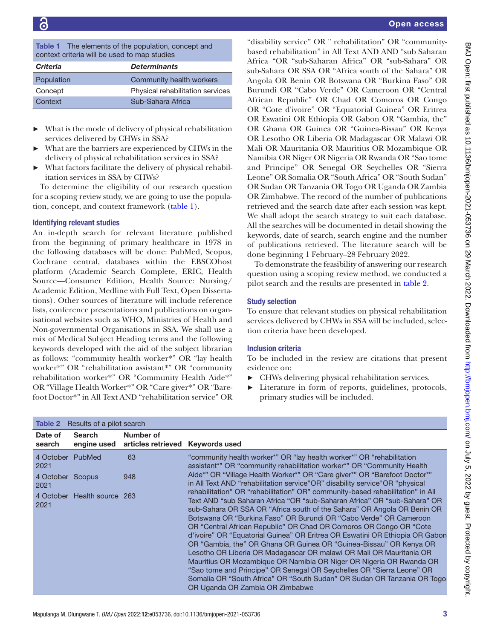<span id="page-2-0"></span>Table 1 The elements of the population, concept and context criteria will be used to map studies

| <b>Criteria</b> | <b>Determinants</b>              |
|-----------------|----------------------------------|
| Population      | Community health workers         |
| Concept         | Physical rehabilitation services |
| Context         | Sub-Sahara Africa                |

- What is the mode of delivery of physical rehabilitation services delivered by CHWs in SSA?
- What are the barriers are experienced by CHWs in the delivery of physical rehabilitation services in SSA?
- What factors facilitate the delivery of physical rehabilitation services in SSA by CHWs?

To determine the eligibility of our research question for a scoping review study, we are going to use the population, concept, and context framework ([table](#page-2-0) 1).

## Identifying relevant studies

An in-depth search for relevant literature published from the beginning of primary healthcare in 1978 in the following databases will be done: PubMed, Scopus, Cochrane central, databases within the EBSCOhost platform (Academic Search Complete, ERIC, Health Source—Consumer Edition, Health Source: Nursing/ Academic Edition, Medline with Full Text, Open Dissertations). Other sources of literature will include reference lists, conference presentations and publications on organisational websites such as WHO, Ministries of Health and Non-governmental Organisations in SSA. We shall use a mix of Medical Subject Heading terms and the following keywords developed with the aid of the subject librarian as follows: "community health worker\*" OR "lay health worker\*" OR "rehabilitation assistant\*" OR "community rehabilitation worker\*" OR "Community Health Aide\*" OR "Village Health Worker\*" OR "Care giver\*" OR "Barefoot Doctor\*" in All Text AND "rehabilitation service" OR

"disability service" OR " rehabilitation" OR "communitybased rehabilitation" in All Text AND AND "sub Saharan Africa "OR "sub-Saharan Africa" OR "sub-Sahara" OR sub-Sahara OR SSA OR "Africa south of the Sahara" OR Angola OR Benin OR Botswana OR "Burkina Faso" OR Burundi OR "Cabo Verde" OR Cameroon OR "Central African Republic" OR Chad OR Comoros OR Congo OR "Cote d'ivoire" OR "Equatorial Guinea" OR Eritrea OR Eswatini OR Ethiopia OR Gabon OR "Gambia, the" OR Ghana OR Guinea OR "Guinea-Bissau" OR Kenya OR Lesotho OR Liberia OR Madagascar OR Malawi OR Mali OR Mauritania OR Mauritius OR Mozambique OR Namibia OR Niger OR Nigeria OR Rwanda OR "Sao tome and Principe" OR Senegal OR Seychelles OR "Sierra Leone" OR Somalia OR "South Africa" OR "South Sudan" OR Sudan OR Tanzania OR Togo OR Uganda OR Zambia OR Zimbabwe. The record of the number of publications retrieved and the search date after each session was kept. We shall adopt the search strategy to suit each database. All the searches will be documented in detail showing the keywords, date of search, search engine and the number of publications retrieved. The literature search will be done beginning 1 February–28 February 2022.

To demonstrate the feasibility of answering our research question using a scoping review method, we conducted a pilot search and the results are presented in [table](#page-2-1) 2.

### Study selection

To ensure that relevant studies on physical rehabilitation services delivered by CHWs in SSA will be included, selection criteria have been developed.

### Inclusion criteria

To be included in the review are citations that present evidence on:

- ► CHWs delivering physical rehabilitation services.
- ► Literature in form of reports, guidelines, protocols, primary studies will be included.

<span id="page-2-1"></span>

| Results of a pilot search<br>Table 2 |                              |                                               |                                                                                                                                                                                                                                                                                                                                                                                                                                                                                                                                                                                                                                                                                                                                                                                                                                                                                                                                                                                                                                            |  |
|--------------------------------------|------------------------------|-----------------------------------------------|--------------------------------------------------------------------------------------------------------------------------------------------------------------------------------------------------------------------------------------------------------------------------------------------------------------------------------------------------------------------------------------------------------------------------------------------------------------------------------------------------------------------------------------------------------------------------------------------------------------------------------------------------------------------------------------------------------------------------------------------------------------------------------------------------------------------------------------------------------------------------------------------------------------------------------------------------------------------------------------------------------------------------------------------|--|
| Date of<br>search                    | <b>Search</b><br>engine used | Number of<br>articles retrieved Keywords used |                                                                                                                                                                                                                                                                                                                                                                                                                                                                                                                                                                                                                                                                                                                                                                                                                                                                                                                                                                                                                                            |  |
| 4 October PubMed<br>2021             |                              | 63                                            | "community health worker*" OR "lay health worker*" OR "rehabilitation<br>assistant*" OR "community rehabilitation worker*" OR "Community Health                                                                                                                                                                                                                                                                                                                                                                                                                                                                                                                                                                                                                                                                                                                                                                                                                                                                                            |  |
| 4 October Scopus<br>2021             |                              | 948                                           | Aide*" OR "Village Health Worker*" OR "Care giver*" OR "Barefoot Doctor*"<br>in All Text AND "rehabilitation service" OR" disability service" OR "physical<br>rehabilitation" OR "rehabilitation" OR" community-based rehabilitation" in All<br>Text AND "sub Saharan Africa "OR "sub-Saharan Africa" OR "sub-Sahara" OR<br>sub-Sahara OR SSA OR "Africa south of the Sahara" OR Angola OR Benin OR<br>Botswana OR "Burkina Faso" OR Burundi OR "Cabo Verde" OR Cameroon<br>OR "Central African Republic" OR Chad OR Comoros OR Congo OR "Cote"<br>d'ivoire" OR "Equatorial Guinea" OR Eritrea OR Eswatini OR Ethiopia OR Gabon<br>OR "Gambia, the" OR Ghana OR Guinea OR "Guinea-Bissau" OR Kenya OR<br>Lesotho OR Liberia OR Madagascar OR malawi OR Mali OR Mauritania OR<br>Mauritius OR Mozambique OR Namibia OR Niger OR Nigeria OR Rwanda OR<br>"Sao tome and Principe" OR Senegal OR Seychelles OR "Sierra Leone" OR<br>Somalia OR "South Africa" OR "South Sudan" OR Sudan OR Tanzania OR Togo<br>OR Uganda OR Zambia OR Zimbabwe |  |
| 2021                                 | 4 October Health source 263  |                                               |                                                                                                                                                                                                                                                                                                                                                                                                                                                                                                                                                                                                                                                                                                                                                                                                                                                                                                                                                                                                                                            |  |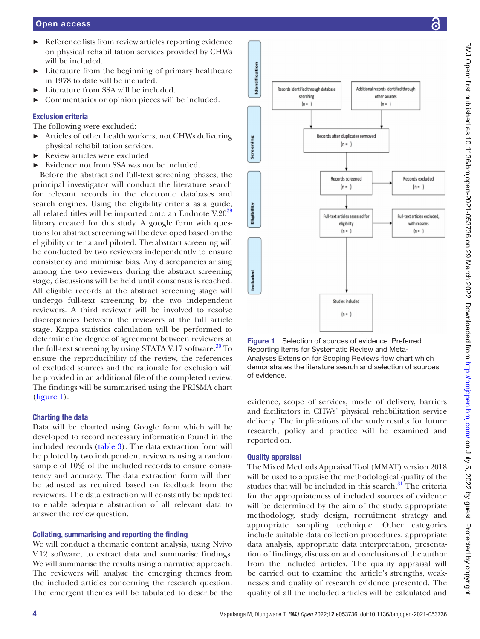- ► Reference lists from review articles reporting evidence on physical rehabilitation services provided by CHWs will be included.
	- Literature from the beginning of primary healthcare in 1978 to date will be included.
	- Literature from SSA will be included.
	- Commentaries or opinion pieces will be included.

# Exclusion criteria

The following were excluded:

- ► Articles of other health workers, not CHWs delivering physical rehabilitation services.
- ► Review articles were excluded.
- Evidence not from SSA was not be included.

Before the abstract and full-text screening phases, the principal investigator will conduct the literature search for relevant records in the electronic databases and search engines. Using the eligibility criteria as a guide, all related titles will be imported onto an Endnote  $V.20^{29}$ library created for this study. A google form with questions for abstract screening will be developed based on the eligibility criteria and piloted. The abstract screening will be conducted by two reviewers independently to ensure consistency and minimise bias. Any discrepancies arising among the two reviewers during the abstract screening stage, discussions will be held until consensus is reached. All eligible records at the abstract screening stage will undergo full-text screening by the two independent reviewers. A third reviewer will be involved to resolve discrepancies between the reviewers at the full article stage. Kappa statistics calculation will be performed to determine the degree of agreement between reviewers at the full-text screening by using STATA V.17 software.<sup>30</sup> To ensure the reproducibility of the review, the references of excluded sources and the rationale for exclusion will be provided in an additional file of the completed review. The findings will be summarised using the PRISMA chart ([figure](#page-3-0) 1).

# Charting the data

Data will be charted using Google form which will be developed to record necessary information found in the included records ([table](#page-4-7) 3). The data extraction form will be piloted by two independent reviewers using a random sample of 10% of the included records to ensure consistency and accuracy. The data extraction form will then be adjusted as required based on feedback from the reviewers. The data extraction will constantly be updated to enable adequate abstraction of all relevant data to answer the review question.

# Collating, summarising and reporting the finding

We will conduct a thematic content analysis, using Nvivo V.12 software, to extract data and summarise findings. We will summarise the results using a narrative approach. The reviewers will analyse the emerging themes from the included articles concerning the research question. The emergent themes will be tabulated to describe the



<span id="page-3-0"></span>Figure 1 Selection of sources of evidence. Preferred Reporting Items for Systematic Review and Meta-Analyses Extension for Scoping Reviews flow chart which demonstrates the literature search and selection of sources of evidence.

evidence, scope of services, mode of delivery, barriers and facilitators in CHWs' physical rehabilitation service delivery. The implications of the study results for future research, policy and practice will be examined and reported on.

# Quality appraisal

The Mixed Methods Appraisal Tool (MMAT) version 2018 will be used to appraise the methodological quality of the studies that will be included in this search. $31$  The criteria for the appropriateness of included sources of evidence will be determined by the aim of the study, appropriate methodology, study design, recruitment strategy and appropriate sampling technique. Other categories include suitable data collection procedures, appropriate data analysis, appropriate data interpretation, presentation of findings, discussion and conclusions of the author from the included articles. The quality appraisal will be carried out to examine the article's strengths, weaknesses and quality of research evidence presented. The quality of all the included articles will be calculated and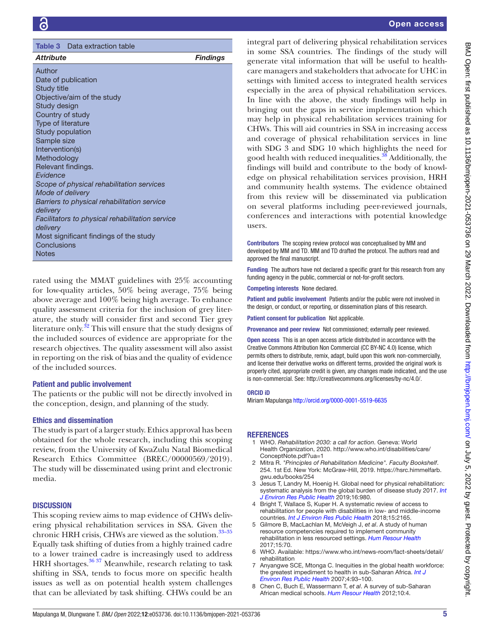<span id="page-4-7"></span>

| <b>Table 3</b> Data extraction table                        |                 |  |  |  |
|-------------------------------------------------------------|-----------------|--|--|--|
| <b>Attribute</b>                                            | <b>Findings</b> |  |  |  |
| Author                                                      |                 |  |  |  |
| Date of publication<br>Study title                          |                 |  |  |  |
| Objective/aim of the study                                  |                 |  |  |  |
| Study design                                                |                 |  |  |  |
| Country of study                                            |                 |  |  |  |
| Type of literature<br>Study population                      |                 |  |  |  |
| Sample size                                                 |                 |  |  |  |
| Intervention(s)                                             |                 |  |  |  |
| Methodology                                                 |                 |  |  |  |
| Relevant findings.<br>Evidence                              |                 |  |  |  |
| Scope of physical rehabilitation services                   |                 |  |  |  |
| Mode of delivery                                            |                 |  |  |  |
| Barriers to physical rehabilitation service                 |                 |  |  |  |
| delivery                                                    |                 |  |  |  |
| Facilitators to physical rehabilitation service<br>delivery |                 |  |  |  |
| Most significant findings of the study                      |                 |  |  |  |
| Conclusions                                                 |                 |  |  |  |
| <b>Notes</b>                                                |                 |  |  |  |

rated using the MMAT guidelines with 25% accounting for low-quality articles, 50% being average, 75% being above average and 100% being high average. To enhance quality assessment criteria for the inclusion of grey literature, the study will consider first and second Tier grey literature only. $32$  This will ensure that the study designs of the included sources of evidence are appropriate for the research objectives. The quality assessment will also assist in reporting on the risk of bias and the quality of evidence of the included sources.

# Patient and public involvement

The patients or the public will not be directly involved in the conception, design, and planning of the study.

# Ethics and dissemination

The study is part of a larger study. Ethics approval has been obtained for the whole research, including this scoping review, from the University of KwaZulu Natal Biomedical Research Ethics Committee (BREC/00000569/2019). The study will be disseminated using print and electronic media.

# **DISCUSSION**

This scoping review aims to map evidence of CHWs delivering physical rehabilitation services in SSA. Given the chronic HRH crisis, CHWs are viewed as the solution.<sup>33-35</sup> Equally task shifting of duties from a highly trained cadre to a lower trained cadre is increasingly used to address HRH shortages. $36\frac{37}{7}$  Meanwhile, research relating to task shifting in SSA, tends to focus more on specific health issues as well as on potential health system challenges that can be alleviated by task shifting. CHWs could be an

# Open access

integral part of delivering physical rehabilitation services in some SSA countries. The findings of the study will generate vital information that will be useful to healthcare managers and stakeholders that advocate for UHC in settings with limited access to integrated health services especially in the area of physical rehabilitation services. In line with the above, the study findings will help in bringing out the gaps in service implementation which may help in physical rehabilitation services training for CHWs. This will aid countries in SSA in increasing access and coverage of physical rehabilitation services in line with SDG 3 and SDG 10 which highlights the need for good health with reduced inequalities.<sup>38</sup> Additionally, the findings will build and contribute to the body of knowledge on physical rehabilitation services provision, HRH and community health systems. The evidence obtained from this review will be disseminated via publication on several platforms including peer-reviewed journals, conferences and interactions with potential knowledge users.

Contributors The scoping review protocol was conceptualised by MM and developed by MM and TD. MM and TD drafted the protocol. The authors read and approved the final manuscript.

Funding The authors have not declared a specific grant for this research from any funding agency in the public, commercial or not-for-profit sectors.

Competing interests None declared.

Patient and public involvement Patients and/or the public were not involved in the design, or conduct, or reporting, or dissemination plans of this research.

Patient consent for publication Not applicable.

Provenance and peer review Not commissioned; externally peer reviewed.

Open access This is an open access article distributed in accordance with the Creative Commons Attribution Non Commercial (CC BY-NC 4.0) license, which permits others to distribute, remix, adapt, build upon this work non-commercially, and license their derivative works on different terms, provided the original work is properly cited, appropriate credit is given, any changes made indicated, and the use is non-commercial. See: [http://creativecommons.org/licenses/by-nc/4.0/.](http://creativecommons.org/licenses/by-nc/4.0/)

### ORCID iD

Miriam Mapulanga<http://orcid.org/0000-0001-5519-6635>

# **REFERENCES**

- <span id="page-4-0"></span>1 WHO. *Rehabilitation 2030: a call for action*. Geneva: World Health Organization, 2020. [http://www.who.int/disabilities/care/](http://www.who.int/disabilities/care/ConceptNote.pdf?ua=1) [ConceptNote.pdf?ua=1](http://www.who.int/disabilities/care/ConceptNote.pdf?ua=1)
- <span id="page-4-1"></span>2 Mitra R. *"Principles of Rehabilitation Medicine". Faculty Bookshelf*. 254. 1st Ed. New York: McGraw-Hill, 2019. [https://hsrc.himmelfarb.](https://hsrc.himmelfarb.gwu.edu/books/254) [gwu.edu/books/254](https://hsrc.himmelfarb.gwu.edu/books/254)
- <span id="page-4-2"></span>Jesus T, Landry M, Hoenig H. Global need for physical rehabilitation: systematic analysis from the global burden of disease study 2017. *[Int](http://dx.doi.org/10.3390/ijerph16060980)  [J Environ Res Public Health](http://dx.doi.org/10.3390/ijerph16060980)* 2019;16:980.
- <span id="page-4-6"></span>4 Bright T, Wallace S, Kuper H. A systematic review of access to rehabilitation for people with disabilities in low- and middle-income countries. *[Int J Environ Res Public Health](http://dx.doi.org/10.3390/ijerph15102165)* 2018;15:2165.
- 5 Gilmore B, MacLachlan M, McVeigh J, *et al*. A study of human resource competencies required to implement community rehabilitation in less resourced settings. *[Hum Resour Health](http://dx.doi.org/10.1186/s12960-017-0240-1)* 2017;15:70.
- <span id="page-4-3"></span>WHO. Available: [https://www.who.int/news-room/fact-sheets/detail/](https://www.who.int/news-room/fact-sheets/detail/rehabilitation) [rehabilitation](https://www.who.int/news-room/fact-sheets/detail/rehabilitation)
- <span id="page-4-4"></span>Anyangwe SCE, Mtonga C. Inequities in the global health workforce: the greatest impediment to health in sub-Saharan Africa. *[Int J](http://dx.doi.org/10.3390/ijerph2007040002)  [Environ Res Public Health](http://dx.doi.org/10.3390/ijerph2007040002)* 2007;4:93–100.
- <span id="page-4-5"></span>8 Chen C, Buch E, Wassermann T, *et al*. A survey of sub-Saharan African medical schools. *[Hum Resour Health](http://dx.doi.org/10.1186/1478-4491-10-4)* 2012;10:4.